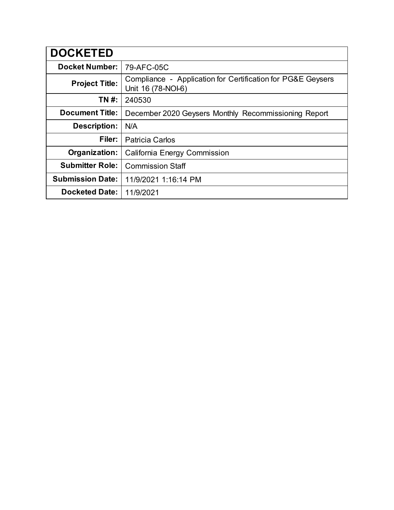| <b>DOCKETED</b>         |                                                                                   |
|-------------------------|-----------------------------------------------------------------------------------|
| <b>Docket Number:</b>   | 79-AFC-05C                                                                        |
| <b>Project Title:</b>   | Compliance - Application for Certification for PG&E Geysers<br>Unit 16 (78-NOI-6) |
| TN #:                   | 240530                                                                            |
| <b>Document Title:</b>  | December 2020 Geysers Monthly Recommissioning Report                              |
| <b>Description:</b>     | N/A                                                                               |
| Filer:                  | <b>Patricia Carlos</b>                                                            |
| Organization:           | <b>California Energy Commission</b>                                               |
| <b>Submitter Role:</b>  | <b>Commission Staff</b>                                                           |
| <b>Submission Date:</b> | 11/9/2021 1:16:14 PM                                                              |
| <b>Docketed Date:</b>   | 11/9/2021                                                                         |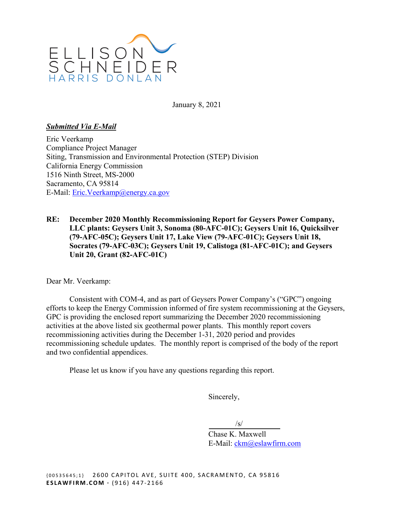

January 8, 2021

### *Submitted Via E-Mail*

Eric Veerkamp Compliance Project Manager Siting, Transmission and Environmental Protection (STEP) Division California Energy Commission 1516 Ninth Street, MS-2000 Sacramento, CA 95814 E-Mail: Eric.Veerkamp@energy.ca.gov

**RE: December 2020 Monthly Recommissioning Report for Geysers Power Company, LLC plants: Geysers Unit 3, Sonoma (80-AFC-01C); Geysers Unit 16, Quicksilver (79-AFC-05C); Geysers Unit 17, Lake View (79-AFC-01C); Geysers Unit 18, Socrates (79-AFC-03C); Geysers Unit 19, Calistoga (81-AFC-01C); and Geysers Unit 20, Grant (82-AFC-01C)** 

Dear Mr. Veerkamp:

 Consistent with COM-4, and as part of Geysers Power Company's ("GPC") ongoing efforts to keep the Energy Commission informed of fire system recommissioning at the Geysers, GPC is providing the enclosed report summarizing the December 2020 recommissioning activities at the above listed six geothermal power plants. This monthly report covers recommissioning activities during the December 1-31, 2020 period and provides recommissioning schedule updates. The monthly report is comprised of the body of the report and two confidential appendices.

Please let us know if you have any questions regarding this report.

Sincerely,

 $\sqrt{s}$ /s/

Chase K. Maxwell E-Mail: ckm@eslawfirm.com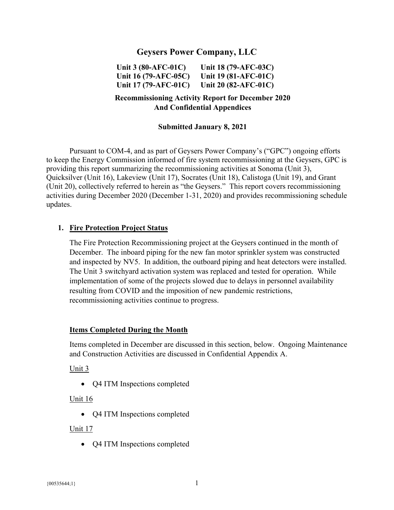# **Geysers Power Company, LLC**

**Unit 3 (80-AFC-01C) Unit 16 (79-AFC-05C) Unit 17 (79-AFC-01C) Unit 18 (79-AFC-03C) Unit 19 (81-AFC-01C) Unit 20 (82-AFC-01C)** 

# **Recommissioning Activity Report for December 2020 And Confidential Appendices**

#### **Submitted January 8, 2021**

Pursuant to COM-4, and as part of Geysers Power Company's ("GPC") ongoing efforts to keep the Energy Commission informed of fire system recommissioning at the Geysers, GPC is providing this report summarizing the recommissioning activities at Sonoma (Unit 3), Quicksilver (Unit 16), Lakeview (Unit 17), Socrates (Unit 18), Calistoga (Unit 19), and Grant (Unit 20), collectively referred to herein as "the Geysers." This report covers recommissioning activities during December 2020 (December 1-31, 2020) and provides recommissioning schedule updates.

#### **1. Fire Protection Project Status**

The Fire Protection Recommissioning project at the Geysers continued in the month of December. The inboard piping for the new fan motor sprinkler system was constructed and inspected by NV5. In addition, the outboard piping and heat detectors were installed. The Unit 3 switchyard activation system was replaced and tested for operation. While implementation of some of the projects slowed due to delays in personnel availability resulting from COVID and the imposition of new pandemic restrictions, recommissioning activities continue to progress.

#### **Items Completed During the Month**

Items completed in December are discussed in this section, below. Ongoing Maintenance and Construction Activities are discussed in Confidential Appendix A.

#### Unit 3

• O4 ITM Inspections completed

#### Unit 16

• Q4 ITM Inspections completed

#### Unit 17

• Q4 ITM Inspections completed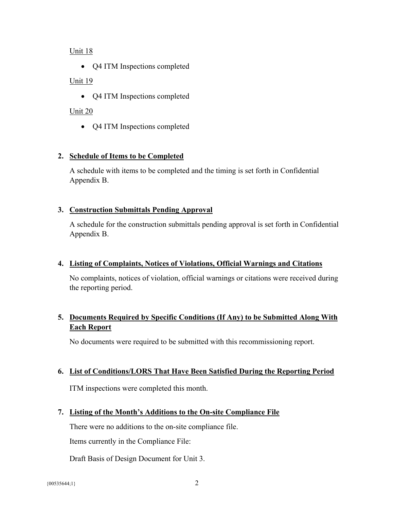### Unit 18

• Q4 ITM Inspections completed

## Unit 19

• Q4 ITM Inspections completed

# Unit 20

• Q4 ITM Inspections completed

# **2. Schedule of Items to be Completed**

A schedule with items to be completed and the timing is set forth in Confidential Appendix B.

### **3. Construction Submittals Pending Approval**

A schedule for the construction submittals pending approval is set forth in Confidential Appendix B.

### **4. Listing of Complaints, Notices of Violations, Official Warnings and Citations**

No complaints, notices of violation, official warnings or citations were received during the reporting period.

# **5. Documents Required by Specific Conditions (If Any) to be Submitted Along With Each Report**

No documents were required to be submitted with this recommissioning report.

### **6. List of Conditions/LORS That Have Been Satisfied During the Reporting Period**

ITM inspections were completed this month.

# **7. Listing of the Month's Additions to the On-site Compliance File**

There were no additions to the on-site compliance file.

Items currently in the Compliance File:

Draft Basis of Design Document for Unit 3.